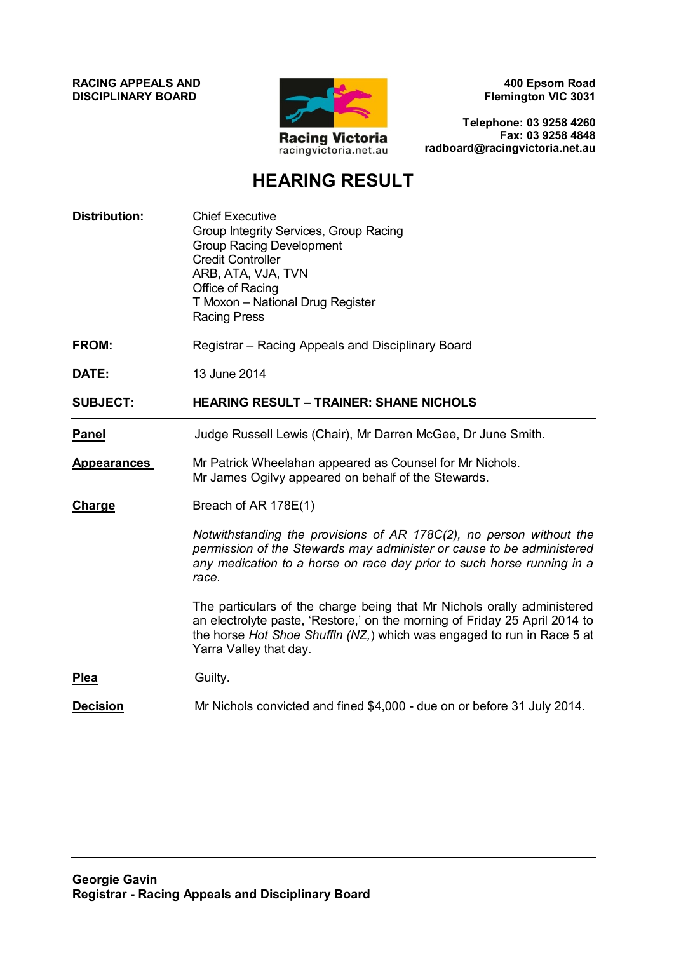**RACING APPEALS AND DISCIPLINARY BOARD**



**400 Epsom Road Flemington VIC 3031**

**Telephone: 03 9258 4260 Fax: 03 9258 4848 radboard@racingvictoria.net.au**

## **HEARING RESULT**

| <b>Distribution:</b> | <b>Chief Executive</b><br>Group Integrity Services, Group Racing<br><b>Group Racing Development</b><br><b>Credit Controller</b><br>ARB, ATA, VJA, TVN<br>Office of Racing<br>T Moxon - National Drug Register<br><b>Racing Press</b>                      |
|----------------------|-----------------------------------------------------------------------------------------------------------------------------------------------------------------------------------------------------------------------------------------------------------|
| <b>FROM:</b>         | Registrar – Racing Appeals and Disciplinary Board                                                                                                                                                                                                         |
| DATE:                | 13 June 2014                                                                                                                                                                                                                                              |
| <b>SUBJECT:</b>      | <b>HEARING RESULT - TRAINER: SHANE NICHOLS</b>                                                                                                                                                                                                            |
| <b>Panel</b>         | Judge Russell Lewis (Chair), Mr Darren McGee, Dr June Smith.                                                                                                                                                                                              |
| <b>Appearances</b>   | Mr Patrick Wheelahan appeared as Counsel for Mr Nichols.<br>Mr James Ogilvy appeared on behalf of the Stewards.                                                                                                                                           |
| <b>Charge</b>        | Breach of AR 178E(1)                                                                                                                                                                                                                                      |
|                      | Notwithstanding the provisions of AR 178C(2), no person without the<br>permission of the Stewards may administer or cause to be administered<br>any medication to a horse on race day prior to such horse running in a<br>race.                           |
|                      | The particulars of the charge being that Mr Nichols orally administered<br>an electrolyte paste, 'Restore,' on the morning of Friday 25 April 2014 to<br>the horse Hot Shoe Shuffln (NZ,) which was engaged to run in Race 5 at<br>Yarra Valley that day. |
| <b>Plea</b>          | Guilty.                                                                                                                                                                                                                                                   |
| <b>Decision</b>      | Mr Nichols convicted and fined \$4,000 - due on or before 31 July 2014.                                                                                                                                                                                   |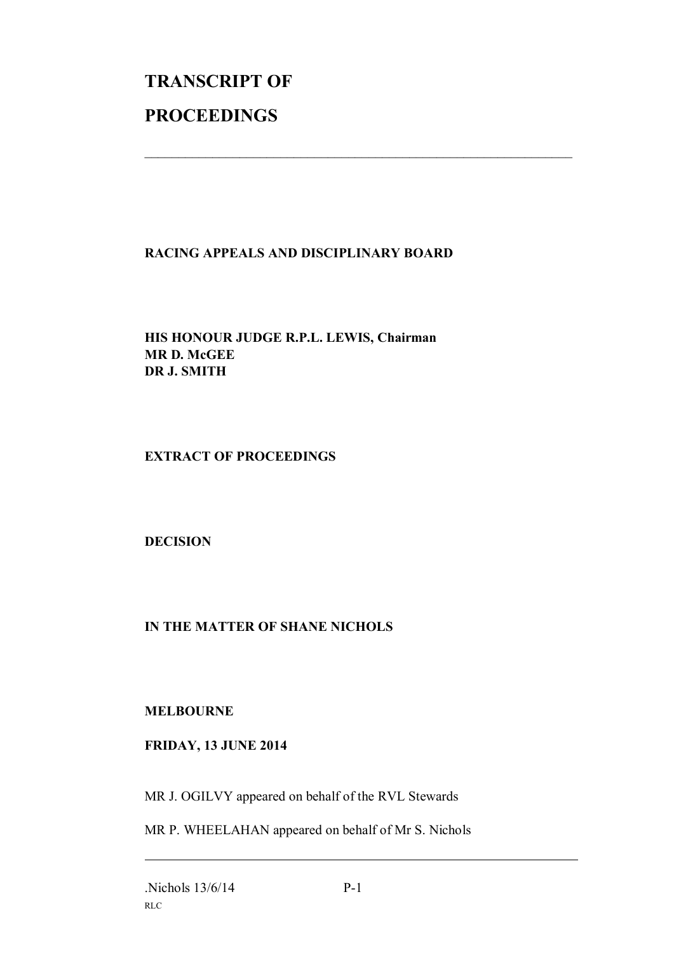## **TRANSCRIPT OF PROCEEDINGS**

## **RACING APPEALS AND DISCIPLINARY BOARD**

 $\mathcal{L}_\text{max}$  , and the contribution of the contribution of the contribution of the contribution of the contribution of the contribution of the contribution of the contribution of the contribution of the contribution of t

**HIS HONOUR JUDGE R.P.L. LEWIS, Chairman MR D. McGEE DR J. SMITH**

**EXTRACT OF PROCEEDINGS**

**DECISION**

## **IN THE MATTER OF SHANE NICHOLS**

**MELBOURNE**

**FRIDAY, 13 JUNE 2014**

MR J. OGILVY appeared on behalf of the RVL Stewards

MR P. WHEELAHAN appeared on behalf of Mr S. Nichols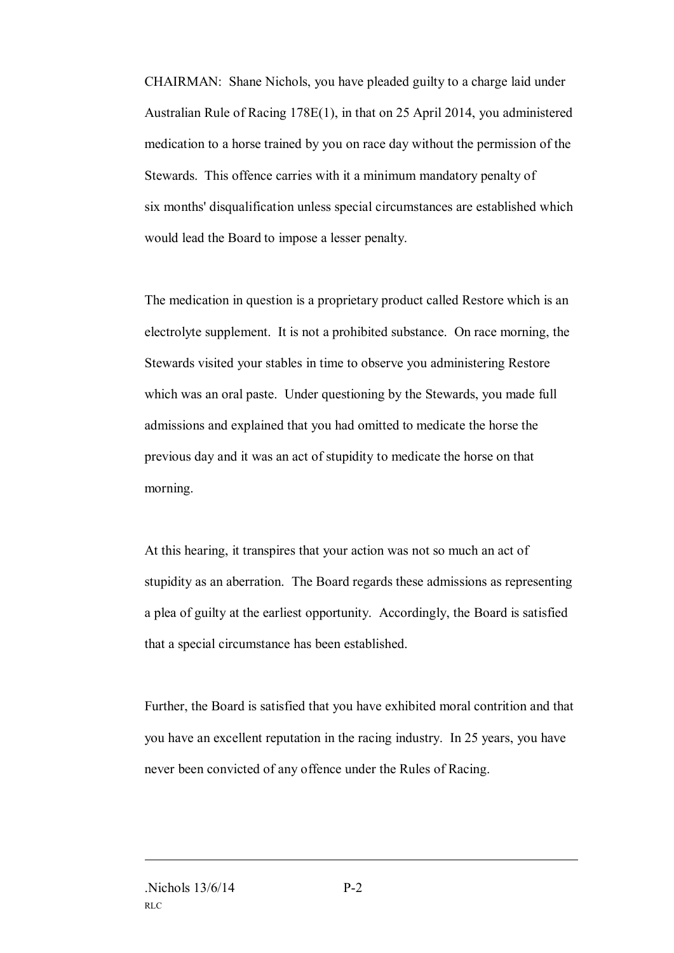CHAIRMAN: Shane Nichols, you have pleaded guilty to a charge laid under Australian Rule of Racing 178E(1), in that on 25 April 2014, you administered medication to a horse trained by you on race day without the permission of the Stewards. This offence carries with it a minimum mandatory penalty of six months' disqualification unless special circumstances are established which would lead the Board to impose a lesser penalty.

The medication in question is a proprietary product called Restore which is an electrolyte supplement. It is not a prohibited substance. On race morning, the Stewards visited your stables in time to observe you administering Restore which was an oral paste. Under questioning by the Stewards, you made full admissions and explained that you had omitted to medicate the horse the previous day and it was an act of stupidity to medicate the horse on that morning.

At this hearing, it transpires that your action was not so much an act of stupidity as an aberration. The Board regards these admissions as representing a plea of guilty at the earliest opportunity. Accordingly, the Board is satisfied that a special circumstance has been established.

Further, the Board is satisfied that you have exhibited moral contrition and that you have an excellent reputation in the racing industry. In 25 years, you have never been convicted of any offence under the Rules of Racing.